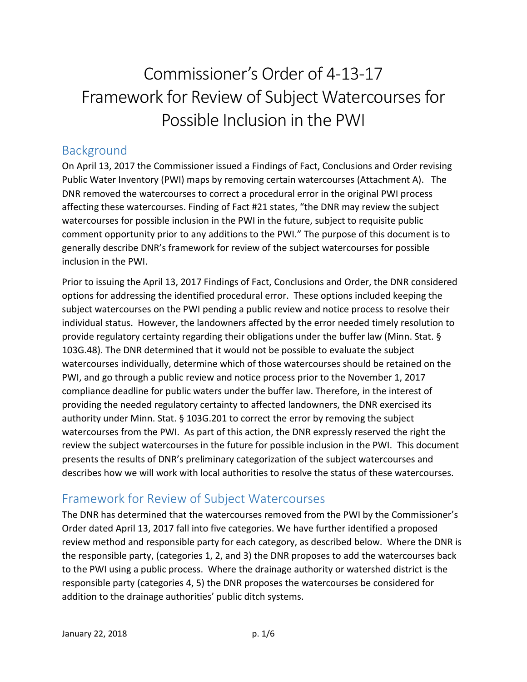# Commissioner's Order of 4-13-17 Framework for Review of Subject Watercourses for Possible Inclusion in the PWI

## Background

On April 13, 2017 the Commissioner issued a Findings of Fact, Conclusions and Order revising Public Water Inventory (PWI) maps by removing certain watercourses (Attachment A). The DNR removed the watercourses to correct a procedural error in the original PWI process affecting these watercourses. Finding of Fact #21 states, "the DNR may review the subject watercourses for possible inclusion in the PWI in the future, subject to requisite public comment opportunity prior to any additions to the PWI." The purpose of this document is to generally describe DNR's framework for review of the subject watercourses for possible inclusion in the PWI.

Prior to issuing the April 13, 2017 Findings of Fact, Conclusions and Order, the DNR considered options for addressing the identified procedural error. These options included keeping the subject watercourses on the PWI pending a public review and notice process to resolve their individual status. However, the landowners affected by the error needed timely resolution to provide regulatory certainty regarding their obligations under the buffer law (Minn. Stat. § 103G.48). The DNR determined that it would not be possible to evaluate the subject watercourses individually, determine which of those watercourses should be retained on the PWI, and go through a public review and notice process prior to the November 1, 2017 compliance deadline for public waters under the buffer law. Therefore, in the interest of providing the needed regulatory certainty to affected landowners, the DNR exercised its authority under Minn. Stat. § 103G.201 to correct the error by removing the subject watercourses from the PWI. As part of this action, the DNR expressly reserved the right the review the subject watercourses in the future for possible inclusion in the PWI. This document presents the results of DNR's preliminary categorization of the subject watercourses and describes how we will work with local authorities to resolve the status of these watercourses.

## Framework for Review of Subject Watercourses

The DNR has determined that the watercourses removed from the PWI by the Commissioner's Order dated April 13, 2017 fall into five categories. We have further identified a proposed review method and responsible party for each category, as described below. Where the DNR is the responsible party, (categories 1, 2, and 3) the DNR proposes to add the watercourses back to the PWI using a public process. Where the drainage authority or watershed district is the responsible party (categories 4, 5) the DNR proposes the watercourses be considered for addition to the drainage authorities' public ditch systems.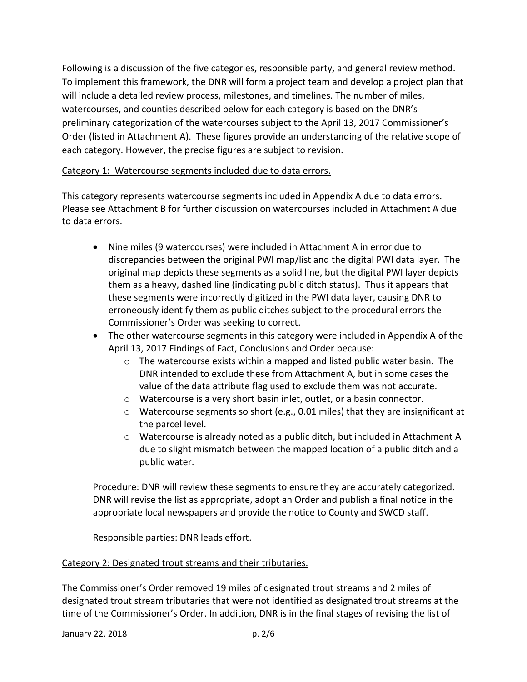Following is a discussion of the five categories, responsible party, and general review method. To implement this framework, the DNR will form a project team and develop a project plan that will include a detailed review process, milestones, and timelines. The number of miles, watercourses, and counties described below for each category is based on the DNR's preliminary categorization of the watercourses subject to the April 13, 2017 Commissioner's Order (listed in Attachment A). These figures provide an understanding of the relative scope of each category. However, the precise figures are subject to revision.

#### Category 1: Watercourse segments included due to data errors.

This category represents watercourse segments included in Appendix A due to data errors. Please see Attachment B for further discussion on watercourses included in Attachment A due to data errors.

- Nine miles (9 watercourses) were included in Attachment A in error due to discrepancies between the original PWI map/list and the digital PWI data layer. The original map depicts these segments as a solid line, but the digital PWI layer depicts them as a heavy, dashed line (indicating public ditch status). Thus it appears that these segments were incorrectly digitized in the PWI data layer, causing DNR to erroneously identify them as public ditches subject to the procedural errors the Commissioner's Order was seeking to correct.
- The other watercourse segments in this category were included in Appendix A of the April 13, 2017 Findings of Fact, Conclusions and Order because:
	- $\circ$  The watercourse exists within a mapped and listed public water basin. The DNR intended to exclude these from Attachment A, but in some cases the value of the data attribute flag used to exclude them was not accurate.
	- o Watercourse is a very short basin inlet, outlet, or a basin connector.
	- o Watercourse segments so short (e.g., 0.01 miles) that they are insignificant at the parcel level.
	- o Watercourse is already noted as a public ditch, but included in Attachment A due to slight mismatch between the mapped location of a public ditch and a public water.

Procedure: DNR will review these segments to ensure they are accurately categorized. DNR will revise the list as appropriate, adopt an Order and publish a final notice in the appropriate local newspapers and provide the notice to County and SWCD staff.

Responsible parties: DNR leads effort.

#### Category 2: Designated trout streams and their tributaries.

The Commissioner's Order removed 19 miles of designated trout streams and 2 miles of designated trout stream tributaries that were not identified as designated trout streams at the time of the Commissioner's Order. In addition, DNR is in the final stages of revising the list of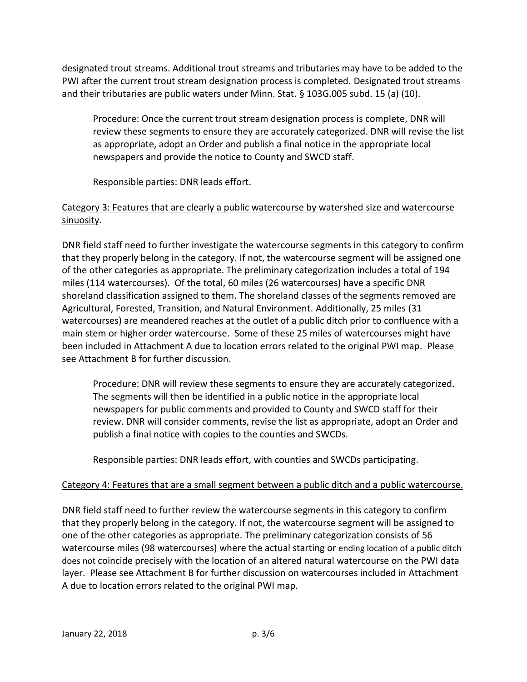designated trout streams. Additional trout streams and tributaries may have to be added to the PWI after the current trout stream designation process is completed. Designated trout streams and their tributaries are public waters under Minn. Stat. § 103G.005 subd. 15 (a) (10).

Procedure: Once the current trout stream designation process is complete, DNR will review these segments to ensure they are accurately categorized. DNR will revise the list as appropriate, adopt an Order and publish a final notice in the appropriate local newspapers and provide the notice to County and SWCD staff.

Responsible parties: DNR leads effort.

#### Category 3: Features that are clearly a public watercourse by watershed size and watercourse sinuosity.

DNR field staff need to further investigate the watercourse segments in this category to confirm that they properly belong in the category. If not, the watercourse segment will be assigned one of the other categories as appropriate. The preliminary categorization includes a total of 194 miles (114 watercourses). Of the total, 60 miles (26 watercourses) have a specific DNR shoreland classification assigned to them. The shoreland classes of the segments removed are Agricultural, Forested, Transition, and Natural Environment. Additionally, 25 miles (31 watercourses) are meandered reaches at the outlet of a public ditch prior to confluence with a main stem or higher order watercourse. Some of these 25 miles of watercourses might have been included in Attachment A due to location errors related to the original PWI map. Please see Attachment B for further discussion.

Procedure: DNR will review these segments to ensure they are accurately categorized. The segments will then be identified in a public notice in the appropriate local newspapers for public comments and provided to County and SWCD staff for their review. DNR will consider comments, revise the list as appropriate, adopt an Order and publish a final notice with copies to the counties and SWCDs.

Responsible parties: DNR leads effort, with counties and SWCDs participating.

#### Category 4: Features that are a small segment between a public ditch and a public watercourse.

DNR field staff need to further review the watercourse segments in this category to confirm that they properly belong in the category. If not, the watercourse segment will be assigned to one of the other categories as appropriate. The preliminary categorization consists of 56 watercourse miles (98 watercourses) where the actual starting or ending location of a public ditch does not coincide precisely with the location of an altered natural watercourse on the PWI data layer. Please see Attachment B for further discussion on watercourses included in Attachment A due to location errors related to the original PWI map.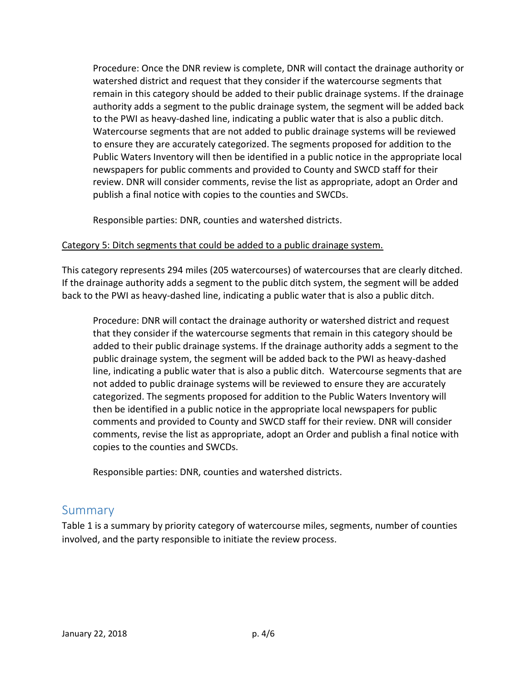Procedure: Once the DNR review is complete, DNR will contact the drainage authority or watershed district and request that they consider if the watercourse segments that remain in this category should be added to their public drainage systems. If the drainage authority adds a segment to the public drainage system, the segment will be added back to the PWI as heavy-dashed line, indicating a public water that is also a public ditch. Watercourse segments that are not added to public drainage systems will be reviewed to ensure they are accurately categorized. The segments proposed for addition to the Public Waters Inventory will then be identified in a public notice in the appropriate local newspapers for public comments and provided to County and SWCD staff for their review. DNR will consider comments, revise the list as appropriate, adopt an Order and publish a final notice with copies to the counties and SWCDs.

Responsible parties: DNR, counties and watershed districts.

#### Category 5: Ditch segments that could be added to a public drainage system.

This category represents 294 miles (205 watercourses) of watercourses that are clearly ditched. If the drainage authority adds a segment to the public ditch system, the segment will be added back to the PWI as heavy-dashed line, indicating a public water that is also a public ditch.

Procedure: DNR will contact the drainage authority or watershed district and request that they consider if the watercourse segments that remain in this category should be added to their public drainage systems. If the drainage authority adds a segment to the public drainage system, the segment will be added back to the PWI as heavy-dashed line, indicating a public water that is also a public ditch. Watercourse segments that are not added to public drainage systems will be reviewed to ensure they are accurately categorized. The segments proposed for addition to the Public Waters Inventory will then be identified in a public notice in the appropriate local newspapers for public comments and provided to County and SWCD staff for their review. DNR will consider comments, revise the list as appropriate, adopt an Order and publish a final notice with copies to the counties and SWCDs.

Responsible parties: DNR, counties and watershed districts.

### Summary

Table 1 is a summary by priority category of watercourse miles, segments, number of counties involved, and the party responsible to initiate the review process.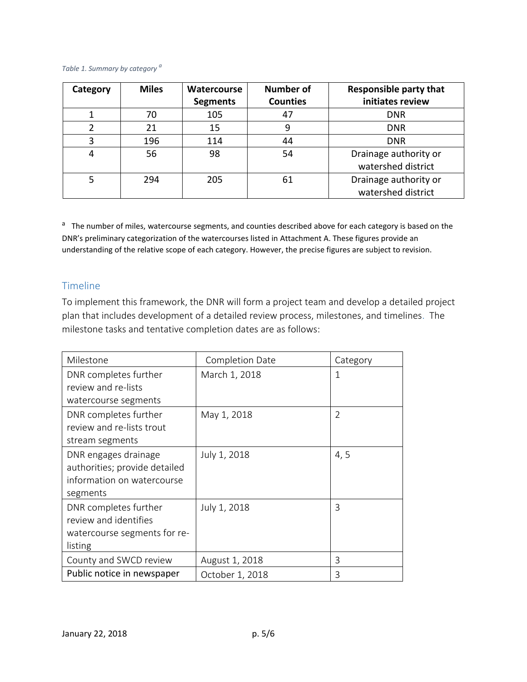#### *Table 1. Summary by category <sup>a</sup>*

| Category | <b>Miles</b> | <b>Watercourse</b> | <b>Number of</b> | <b>Responsible party that</b> |
|----------|--------------|--------------------|------------------|-------------------------------|
|          |              | <b>Segments</b>    | <b>Counties</b>  | initiates review              |
|          | 70           | 105                | 47               | <b>DNR</b>                    |
|          | 21           | 15                 | 9                | <b>DNR</b>                    |
| 3        | 196          | 114                | 44               | <b>DNR</b>                    |
| 4        | 56           | 98                 | 54               | Drainage authority or         |
|          |              |                    |                  | watershed district            |
|          | 294          | 205                | 61               | Drainage authority or         |
|          |              |                    |                  | watershed district            |

<sup>a</sup> The number of miles, watercourse segments, and counties described above for each category is based on the DNR's preliminary categorization of the watercourses listed in Attachment A. These figures provide an understanding of the relative scope of each category. However, the precise figures are subject to revision.

#### Timeline

To implement this framework, the DNR will form a project team and develop a detailed project plan that includes development of a detailed review process, milestones, and timelines. The milestone tasks and tentative completion dates are as follows:

| Milestone                     | Completion Date | Category      |
|-------------------------------|-----------------|---------------|
| DNR completes further         | March 1, 2018   | 1             |
| review and re-lists           |                 |               |
| watercourse segments          |                 |               |
| DNR completes further         | May 1, 2018     | $\mathcal{L}$ |
| review and re-lists trout     |                 |               |
| stream segments               |                 |               |
| DNR engages drainage          | July 1, 2018    | 4,5           |
| authorities; provide detailed |                 |               |
| information on watercourse    |                 |               |
| segments                      |                 |               |
| DNR completes further         | July 1, 2018    | 3             |
| review and identifies         |                 |               |
| watercourse segments for re-  |                 |               |
| listing                       |                 |               |
| County and SWCD review        | August 1, 2018  | 3             |
| Public notice in newspaper    | October 1, 2018 | 3             |